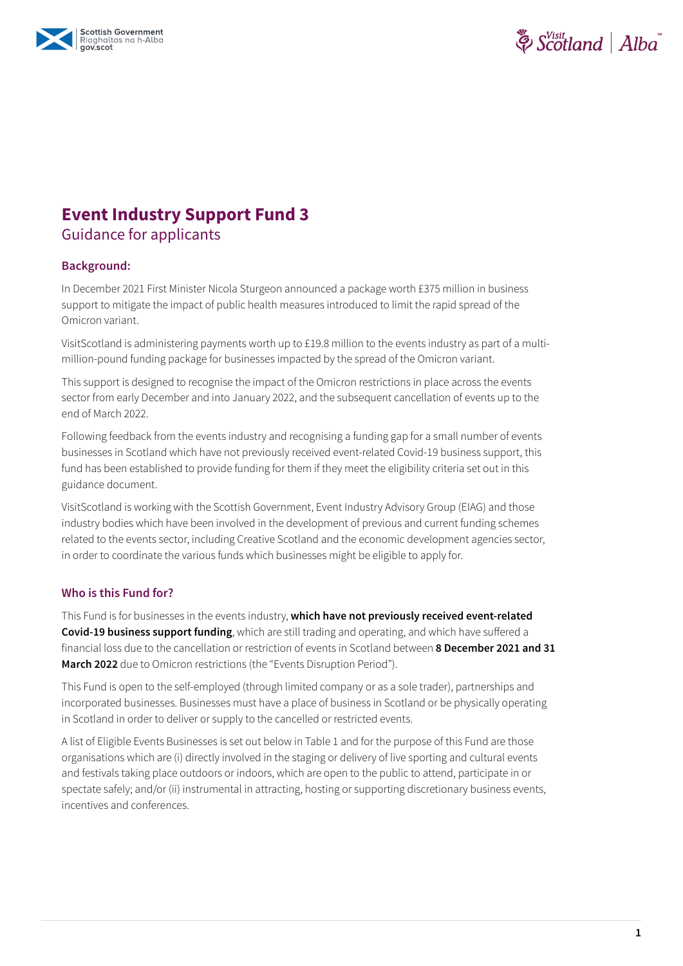



# **Event Industry Support Fund 3**

### Guidance for applicants

#### **Background:**

In December 2021 First Minister Nicola Sturgeon announced a package worth £375 million in business support to mitigate the impact of public health measures introduced to limit the rapid spread of the Omicron variant.

VisitScotland is administering payments worth up to £19.8 million to the events industry as part of a multimillion-pound funding package for businesses impacted by the spread of the Omicron variant.

This support is designed to recognise the impact of the Omicron restrictions in place across the events sector from early December and into January 2022, and the subsequent cancellation of events up to the end of March 2022.

Following feedback from the events industry and recognising a funding gap for a small number of events businesses in Scotland which have not previously received event-related Covid-19 business support, this fund has been established to provide funding for them if they meet the eligibility criteria set out in this guidance document.

VisitScotland is working with the Scottish Government, Event Industry Advisory Group (EIAG) and those industry bodies which have been involved in the development of previous and current funding schemes related to the events sector, including Creative Scotland and the economic development agencies sector, in order to coordinate the various funds which businesses might be eligible to apply for.

#### **Who is this Fund for?**

This Fund is for businesses in the events industry, **which have not previously received event-related Covid-19 business support funding**, which are still trading and operating, and which have suffered a financial loss due to the cancellation or restriction of events in Scotland between **8 December 2021 and 31 March 2022** due to Omicron restrictions (the "Events Disruption Period").

This Fund is open to the self-employed (through limited company or as a sole trader), partnerships and incorporated businesses. Businesses must have a place of business in Scotland or be physically operating in Scotland in order to deliver or supply to the cancelled or restricted events.

A list of Eligible Events Businesses is set out below in Table 1 and for the purpose of this Fund are those organisations which are (i) directly involved in the staging or delivery of live sporting and cultural events and festivals taking place outdoors or indoors, which are open to the public to attend, participate in or spectate safely; and/or (ii) instrumental in attracting, hosting or supporting discretionary business events, incentives and conferences.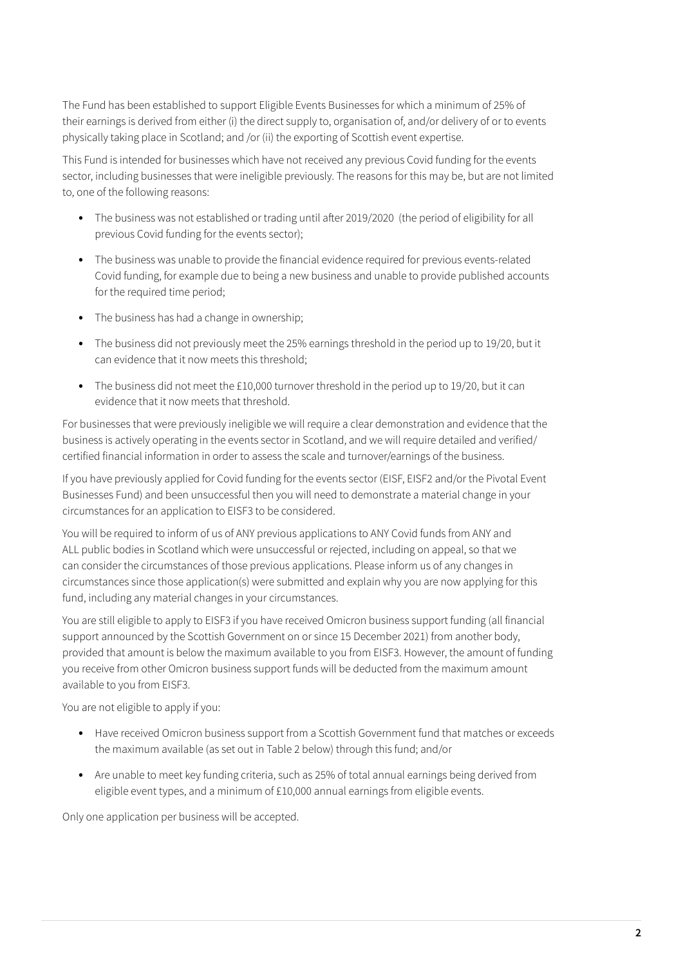The Fund has been established to support Eligible Events Businesses for which a minimum of 25% of their earnings is derived from either (i) the direct supply to, organisation of, and/or delivery of or to events physically taking place in Scotland; and /or (ii) the exporting of Scottish event expertise.

This Fund is intended for businesses which have not received any previous Covid funding for the events sector, including businesses that were ineligible previously. The reasons for this may be, but are not limited to, one of the following reasons:

- **•** The business was not established or trading until after 2019/2020 (the period of eligibility for all previous Covid funding for the events sector);
- **•** The business was unable to provide the financial evidence required for previous events-related Covid funding, for example due to being a new business and unable to provide published accounts for the required time period;
- **•** The business has had a change in ownership;
- **•** The business did not previously meet the 25% earnings threshold in the period up to 19/20, but it can evidence that it now meets this threshold;
- **•** The business did not meet the £10,000 turnover threshold in the period up to 19/20, but it can evidence that it now meets that threshold.

For businesses that were previously ineligible we will require a clear demonstration and evidence that the business is actively operating in the events sector in Scotland, and we will require detailed and verified/ certified financial information in order to assess the scale and turnover/earnings of the business.

If you have previously applied for Covid funding for the events sector (EISF, EISF2 and/or the Pivotal Event Businesses Fund) and been unsuccessful then you will need to demonstrate a material change in your circumstances for an application to EISF3 to be considered.

You will be required to inform of us of ANY previous applications to ANY Covid funds from ANY and ALL public bodies in Scotland which were unsuccessful or rejected, including on appeal, so that we can consider the circumstances of those previous applications. Please inform us of any changes in circumstances since those application(s) were submitted and explain why you are now applying for this fund, including any material changes in your circumstances.

You are still eligible to apply to EISF3 if you have received Omicron business support funding (all financial support announced by the Scottish Government on or since 15 December 2021) from another body, provided that amount is below the maximum available to you from EISF3. However, the amount of funding you receive from other Omicron business support funds will be deducted from the maximum amount available to you from EISF3.

You are not eligible to apply if you:

- **•** Have received Omicron business support from a Scottish Government fund that matches or exceeds the maximum available (as set out in Table 2 below) through this fund; and/or
- **•** Are unable to meet key funding criteria, such as 25% of total annual earnings being derived from eligible event types, and a minimum of £10,000 annual earnings from eligible events.

Only one application per business will be accepted.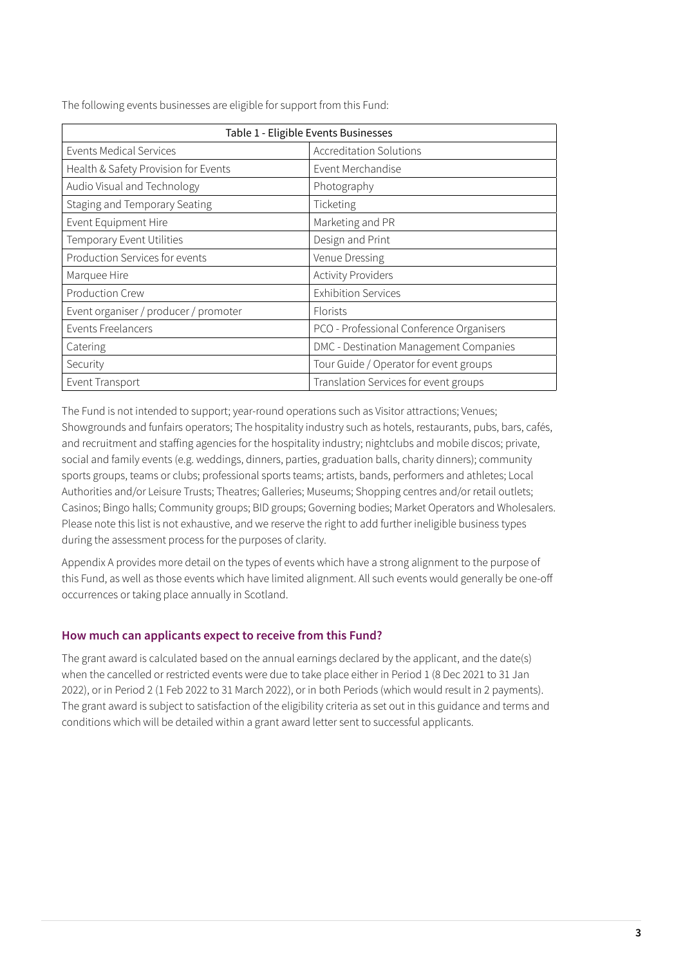| Table 1 - Eligible Events Businesses  |                                          |  |
|---------------------------------------|------------------------------------------|--|
| Events Medical Services               | Accreditation Solutions                  |  |
| Health & Safety Provision for Events  | Event Merchandise                        |  |
| Audio Visual and Technology           | Photography                              |  |
| Staging and Temporary Seating         | Ticketing                                |  |
| Event Equipment Hire                  | Marketing and PR                         |  |
| Temporary Event Utilities             | Design and Print                         |  |
| Production Services for events        | Venue Dressing                           |  |
| Marquee Hire                          | <b>Activity Providers</b>                |  |
| <b>Production Crew</b>                | <b>Exhibition Services</b>               |  |
| Event organiser / producer / promoter | <b>Florists</b>                          |  |
| <b>Events Freelancers</b>             | PCO - Professional Conference Organisers |  |
| Catering                              | DMC - Destination Management Companies   |  |
| Security                              | Tour Guide / Operator for event groups   |  |
| Event Transport                       | Translation Services for event groups    |  |

The following events businesses are eligible for support from this Fund:

The Fund is not intended to support; year-round operations such as Visitor attractions; Venues; Showgrounds and funfairs operators; The hospitality industry such as hotels, restaurants, pubs, bars, cafés, and recruitment and staffing agencies for the hospitality industry; nightclubs and mobile discos; private, social and family events (e.g. weddings, dinners, parties, graduation balls, charity dinners); community sports groups, teams or clubs; professional sports teams; artists, bands, performers and athletes; Local Authorities and/or Leisure Trusts; Theatres; Galleries; Museums; Shopping centres and/or retail outlets; Casinos; Bingo halls; Community groups; BID groups; Governing bodies; Market Operators and Wholesalers. Please note this list is not exhaustive, and we reserve the right to add further ineligible business types during the assessment process for the purposes of clarity.

Appendix A provides more detail on the types of events which have a strong alignment to the purpose of this Fund, as well as those events which have limited alignment. All such events would generally be one-off occurrences or taking place annually in Scotland.

#### **How much can applicants expect to receive from this Fund?**

The grant award is calculated based on the annual earnings declared by the applicant, and the date(s) when the cancelled or restricted events were due to take place either in Period 1 (8 Dec 2021 to 31 Jan 2022), or in Period 2 (1 Feb 2022 to 31 March 2022), or in both Periods (which would result in 2 payments). The grant award is subject to satisfaction of the eligibility criteria as set out in this guidance and terms and conditions which will be detailed within a grant award letter sent to successful applicants.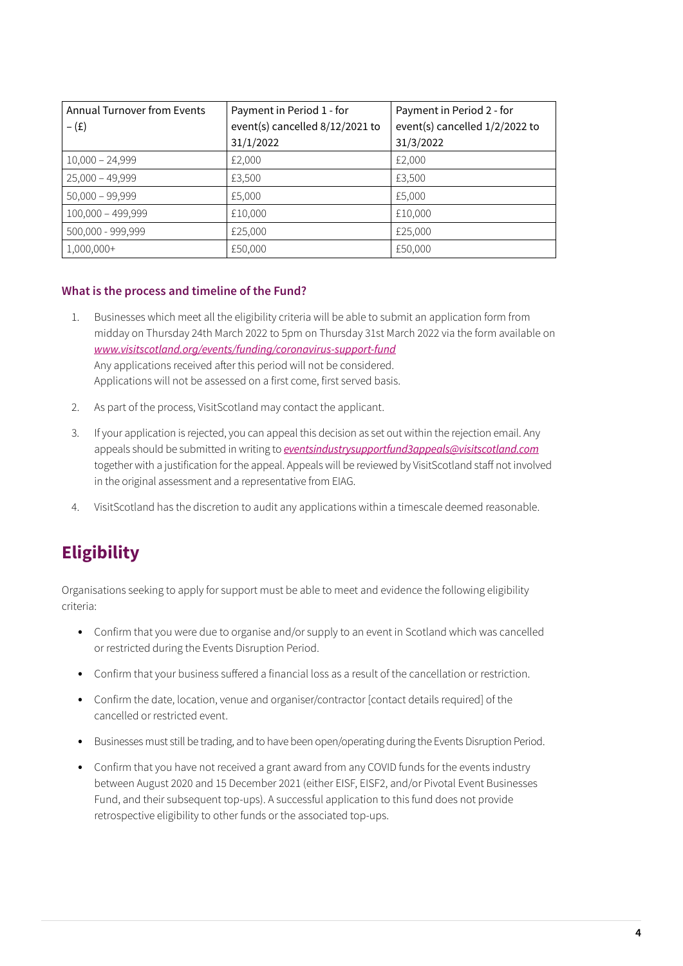| <b>Annual Turnover from Events</b> | Payment in Period 1 - for       | Payment in Period 2 - for      |
|------------------------------------|---------------------------------|--------------------------------|
| $-(\texttt{f})$                    | event(s) cancelled 8/12/2021 to | event(s) cancelled 1/2/2022 to |
|                                    | 31/1/2022                       | 31/3/2022                      |
| $10,000 - 24,999$                  | £2,000                          | £2,000                         |
| $25,000 - 49,999$                  | £3,500                          | £3,500                         |
| $50,000 - 99,999$                  | £5,000                          | £5,000                         |
| $100,000 - 499,999$                | £10,000                         | £10,000                        |
| 500,000 - 999,999                  | £25,000                         | £25,000                        |
| 1,000,000+                         | £50,000                         | £50,000                        |

#### **What is the process and timeline of the Fund?**

- 1. Businesses which meet all the eligibility criteria will be able to submit an application form from midday on Thursday 24th March 2022 to 5pm on Thursday 31st March 2022 via the form available on *[www.visitscotland.org/events/funding/coronavirus-support-fund](https://www.visitscotland.org/events/funding/coronavirus-support-fund)* Any applications received after this period will not be considered. Applications will not be assessed on a first come, first served basis.
- 2. As part of the process, VisitScotland may contact the applicant.
- 3. If your application is rejected, you can appeal this decision as set out within the rejection email. Any appeals should be submitted in writing to *[eventsindustrysupportfund3appeals@visitscotland.com](mailto:eventsindustrysupportfund3appeals%40visitscotland.com?subject=)* together with a justification for the appeal. Appeals will be reviewed by VisitScotland staff not involved in the original assessment and a representative from EIAG.
- 4. VisitScotland has the discretion to audit any applications within a timescale deemed reasonable.

## **Eligibility**

Organisations seeking to apply for support must be able to meet and evidence the following eligibility criteria:

- **•** Confirm that you were due to organise and/or supply to an event in Scotland which was cancelled or restricted during the Events Disruption Period.
- **•** Confirm that your business suffered a financial loss as a result of the cancellation or restriction.
- **•** Confirm the date, location, venue and organiser/contractor [contact details required] of the cancelled or restricted event.
- **•** Businesses must still be trading, and to have been open/operating during the Events Disruption Period.
- **•** Confirm that you have not received a grant award from any COVID funds for the events industry between August 2020 and 15 December 2021 (either EISF, EISF2, and/or Pivotal Event Businesses Fund, and their subsequent top-ups). A successful application to this fund does not provide retrospective eligibility to other funds or the associated top-ups.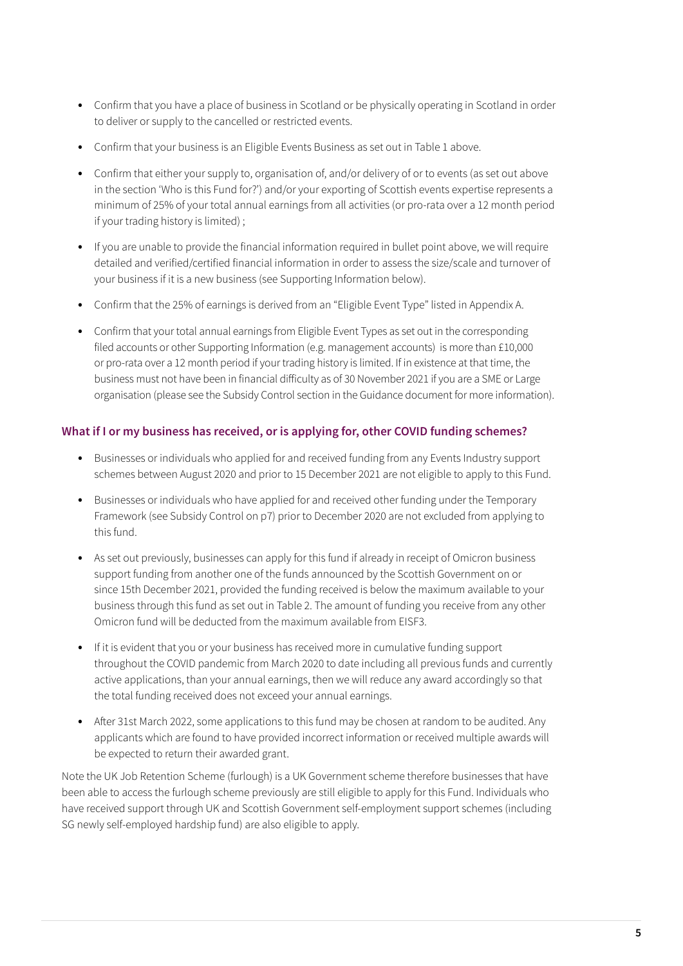- **•** Confirm that you have a place of business in Scotland or be physically operating in Scotland in order to deliver or supply to the cancelled or restricted events.
- **•** Confirm that your business is an Eligible Events Business as set out in Table 1 above.
- **•** Confirm that either your supply to, organisation of, and/or delivery of or to events (as set out above in the section 'Who is this Fund for?') and/or your exporting of Scottish events expertise represents a minimum of 25% of your total annual earnings from all activities (or pro-rata over a 12 month period if your trading history is limited) ;
- **•** If you are unable to provide the financial information required in bullet point above, we will require detailed and verified/certified financial information in order to assess the size/scale and turnover of your business if it is a new business (see Supporting Information below).
- **•** Confirm that the 25% of earnings is derived from an "Eligible Event Type" listed in Appendix A.
- **•** Confirm that your total annual earnings from Eligible Event Types as set out in the corresponding filed accounts or other Supporting Information (e.g. management accounts) is more than £10,000 or pro-rata over a 12 month period if your trading history is limited. If in existence at that time, the business must not have been in financial difficulty as of 30 November 2021 if you are a SME or Large organisation (please see the Subsidy Control section in the Guidance document for more information).

#### **What if I or my business has received, or is applying for, other COVID funding schemes?**

- **•** Businesses or individuals who applied for and received funding from any Events Industry support schemes between August 2020 and prior to 15 December 2021 are not eligible to apply to this Fund.
- **•** Businesses or individuals who have applied for and received other funding under the Temporary Framework (see Subsidy Control on p7) prior to December 2020 are not excluded from applying to this fund.
- **•** As set out previously, businesses can apply for this fund if already in receipt of Omicron business support funding from another one of the funds announced by the Scottish Government on or since 15th December 2021, provided the funding received is below the maximum available to your business through this fund as set out in Table 2. The amount of funding you receive from any other Omicron fund will be deducted from the maximum available from EISF3.
- **•** If it is evident that you or your business has received more in cumulative funding support throughout the COVID pandemic from March 2020 to date including all previous funds and currently active applications, than your annual earnings, then we will reduce any award accordingly so that the total funding received does not exceed your annual earnings.
- **•** After 31st March 2022, some applications to this fund may be chosen at random to be audited. Any applicants which are found to have provided incorrect information or received multiple awards will be expected to return their awarded grant.

Note the UK Job Retention Scheme (furlough) is a UK Government scheme therefore businesses that have been able to access the furlough scheme previously are still eligible to apply for this Fund. Individuals who have received support through UK and Scottish Government self-employment support schemes (including SG newly self-employed hardship fund) are also eligible to apply.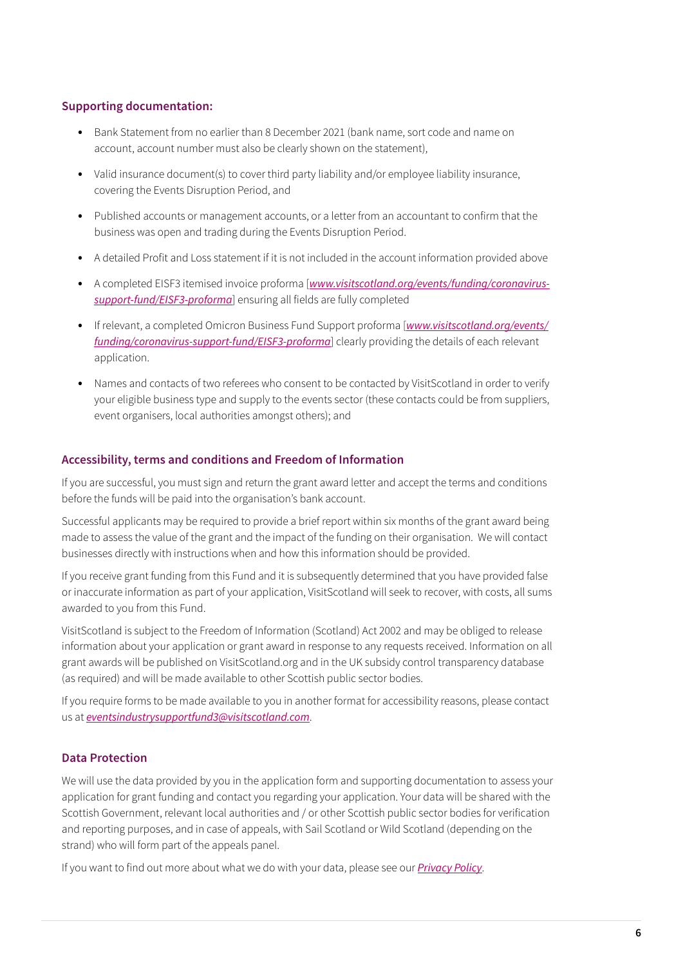#### **Supporting documentation:**

- **•** Bank Statement from no earlier than 8 December 2021 (bank name, sort code and name on account, account number must also be clearly shown on the statement),
- **•** Valid insurance document(s) to cover third party liability and/or employee liability insurance, covering the Events Disruption Period, and
- **•** Published accounts or management accounts, or a letter from an accountant to confirm that the business was open and trading during the Events Disruption Period.
- **•** A detailed Profit and Loss statement if it is not included in the account information provided above
- **•** A completed EISF3 itemised invoice proforma [*[www.visitscotland.org/events/funding/coronavirus](https://www.visitscotland.org/events/funding/coronavirus-support-fund/eisf3-proforma)[support-fund/EISF3-proforma](https://www.visitscotland.org/events/funding/coronavirus-support-fund/eisf3-proforma)*] ensuring all fields are fully completed
- **•** If relevant, a completed Omicron Business Fund Support proforma [*[www.visitscotland.org/events/](https://www.visitscotland.org/events/funding/coronavirus-support-fund/eisf3-proforma) [funding/coronavirus-support-fund/EISF3-proforma](https://www.visitscotland.org/events/funding/coronavirus-support-fund/eisf3-proforma)*] clearly providing the details of each relevant application.
- Names and contacts of two referees who consent to be contacted by VisitScotland in order to verify your eligible business type and supply to the events sector (these contacts could be from suppliers, event organisers, local authorities amongst others); and

#### **Accessibility, terms and conditions and Freedom of Information**

If you are successful, you must sign and return the grant award letter and accept the terms and conditions before the funds will be paid into the organisation's bank account.

Successful applicants may be required to provide a brief report within six months of the grant award being made to assess the value of the grant and the impact of the funding on their organisation. We will contact businesses directly with instructions when and how this information should be provided.

If you receive grant funding from this Fund and it is subsequently determined that you have provided false or inaccurate information as part of your application, VisitScotland will seek to recover, with costs, all sums awarded to you from this Fund.

VisitScotland is subject to the Freedom of Information (Scotland) Act 2002 and may be obliged to release information about your application or grant award in response to any requests received. Information on all grant awards will be published on VisitScotland.org and in the UK subsidy control transparency database (as required) and will be made available to other Scottish public sector bodies.

If you require forms to be made available to you in another format for accessibility reasons, please contact us at *[eventsindustrysupportfund3@visitscotland.com](mailto:eventsindustrysupportfund3%40visitscotland.com?subject=)*.

#### **Data Protection**

We will use the data provided by you in the application form and supporting documentation to assess your application for grant funding and contact you regarding your application. Your data will be shared with the Scottish Government, relevant local authorities and / or other Scottish public sector bodies for verification and reporting purposes, and in case of appeals, with Sail Scotland or Wild Scotland (depending on the strand) who will form part of the appeals panel.

If you want to find out more about what we do with your data, please see our *[Privacy Policy](https://www.visitscotland.org/about-us/privacy-and-policies/privacy#:~:text=VisitScotland%20tries%20to%20be%20as,%3A%20dpo%40visitscotland.com)*.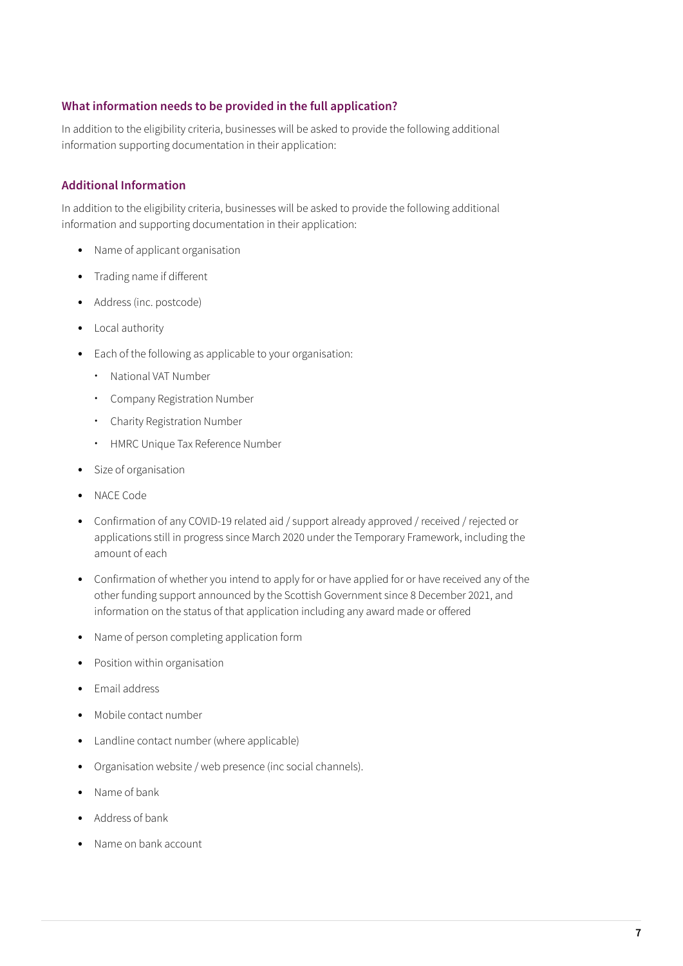#### **What information needs to be provided in the full application?**

In addition to the eligibility criteria, businesses will be asked to provide the following additional information supporting documentation in their application:

#### **Additional Information**

In addition to the eligibility criteria, businesses will be asked to provide the following additional information and supporting documentation in their application:

- **•** Name of applicant organisation
- **•** Trading name if different
- **•** Address (inc. postcode)
- **•** Local authority
- **•** Each of the following as applicable to your organisation:
	- **·** National VAT Number
	- **·** Company Registration Number
	- **·** Charity Registration Number
	- **·** HMRC Unique Tax Reference Number
- **•** Size of organisation
- **•** NACE Code
- Confirmation of any COVID-19 related aid / support already approved / received / rejected or applications still in progress since March 2020 under the Temporary Framework, including the amount of each
- **•** Confirmation of whether you intend to apply for or have applied for or have received any of the other funding support announced by the Scottish Government since 8 December 2021, and information on the status of that application including any award made or offered
- **•** Name of person completing application form
- **•** Position within organisation
- **•** Email address
- **•** Mobile contact number
- **•** Landline contact number (where applicable)
- **•** Organisation website / web presence (inc social channels).
- **•** Name of bank
- **•** Address of bank
- **•** Name on bank account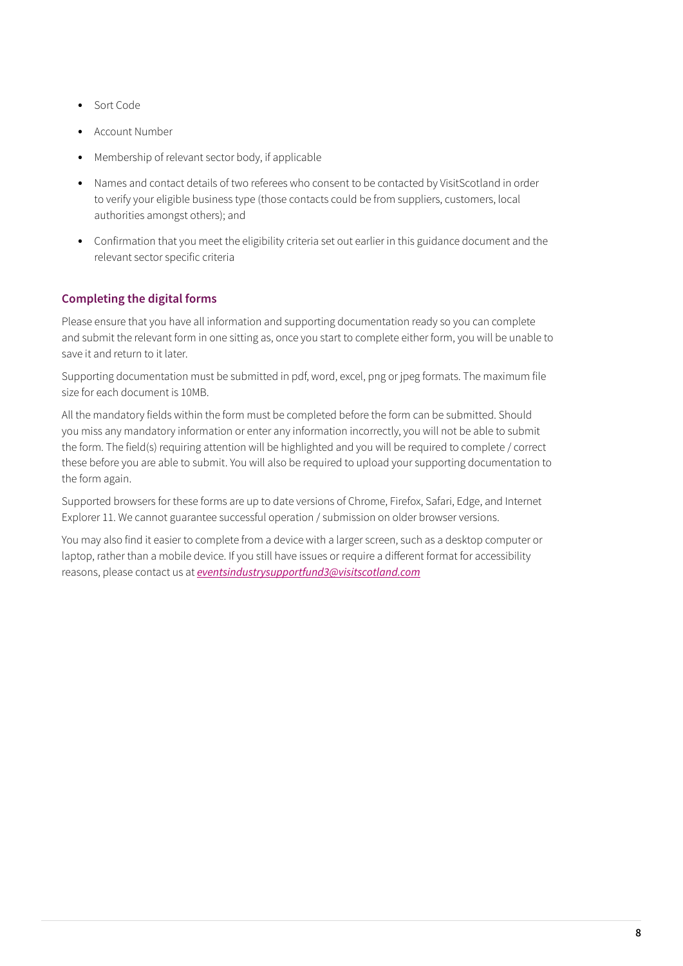- **•** Sort Code
- **•** Account Number
- **•** Membership of relevant sector body, if applicable
- **•** Names and contact details of two referees who consent to be contacted by VisitScotland in order to verify your eligible business type (those contacts could be from suppliers, customers, local authorities amongst others); and
- **•** Confirmation that you meet the eligibility criteria set out earlier in this guidance document and the relevant sector specific criteria

#### **Completing the digital forms**

Please ensure that you have all information and supporting documentation ready so you can complete and submit the relevant form in one sitting as, once you start to complete either form, you will be unable to save it and return to it later.

Supporting documentation must be submitted in pdf, word, excel, png or jpeg formats. The maximum file size for each document is 10MB.

All the mandatory fields within the form must be completed before the form can be submitted. Should you miss any mandatory information or enter any information incorrectly, you will not be able to submit the form. The field(s) requiring attention will be highlighted and you will be required to complete / correct these before you are able to submit. You will also be required to upload your supporting documentation to the form again.

Supported browsers for these forms are up to date versions of Chrome, Firefox, Safari, Edge, and Internet Explorer 11. We cannot guarantee successful operation / submission on older browser versions.

You may also find it easier to complete from a device with a larger screen, such as a desktop computer or laptop, rather than a mobile device. If you still have issues or require a different format for accessibility reasons, please contact us at *[eventsindustrysupportfund3@visitscotland.com](mailto:eventsindustrysupportfund3%40visitscotland.com?subject=)*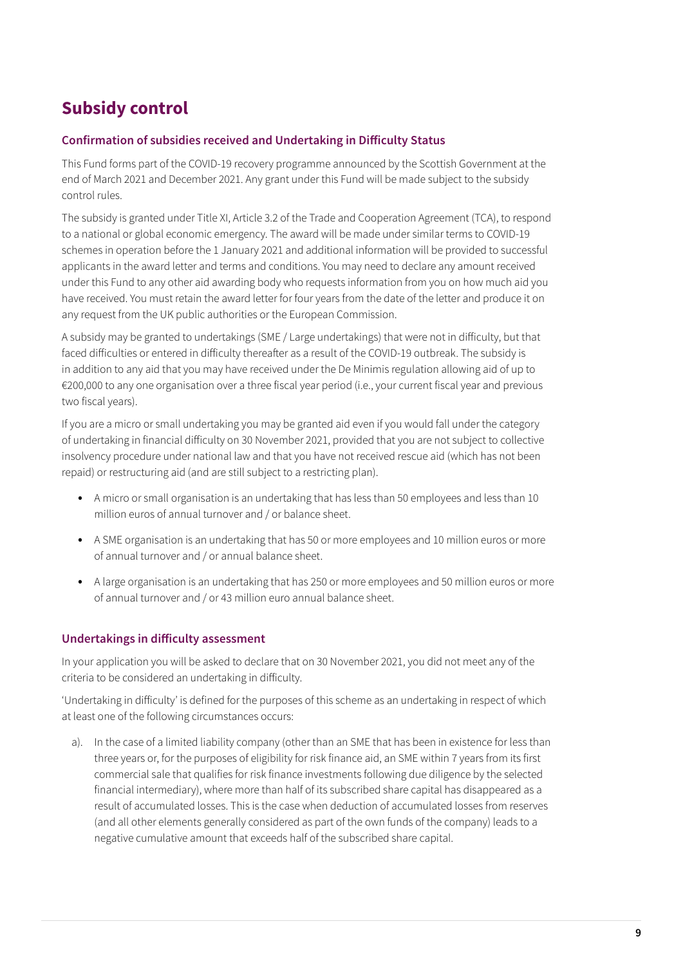### **Subsidy control**

#### **Confirmation of subsidies received and Undertaking in Difficulty Status**

This Fund forms part of the COVID-19 recovery programme announced by the Scottish Government at the end of March 2021 and December 2021. Any grant under this Fund will be made subject to the subsidy control rules.

The subsidy is granted under Title XI, Article 3.2 of the Trade and Cooperation Agreement (TCA), to respond to a national or global economic emergency. The award will be made under similar terms to COVID-19 schemes in operation before the 1 January 2021 and additional information will be provided to successful applicants in the award letter and terms and conditions. You may need to declare any amount received under this Fund to any other aid awarding body who requests information from you on how much aid you have received. You must retain the award letter for four years from the date of the letter and produce it on any request from the UK public authorities or the European Commission.

A subsidy may be granted to undertakings (SME / Large undertakings) that were not in difficulty, but that faced difficulties or entered in difficulty thereafter as a result of the COVID-19 outbreak. The subsidy is in addition to any aid that you may have received under the De Minimis regulation allowing aid of up to €200,000 to any one organisation over a three fiscal year period (i.e., your current fiscal year and previous two fiscal years).

If you are a micro or small undertaking you may be granted aid even if you would fall under the category of undertaking in financial difficulty on 30 November 2021, provided that you are not subject to collective insolvency procedure under national law and that you have not received rescue aid (which has not been repaid) or restructuring aid (and are still subject to a restricting plan).

- A micro or small organisation is an undertaking that has less than 50 employees and less than 10 million euros of annual turnover and / or balance sheet.
- **•** A SME organisation is an undertaking that has 50 or more employees and 10 million euros or more of annual turnover and / or annual balance sheet.
- **•** A large organisation is an undertaking that has 250 or more employees and 50 million euros or more of annual turnover and / or 43 million euro annual balance sheet.

#### **Undertakings in difficulty assessment**

In your application you will be asked to declare that on 30 November 2021, you did not meet any of the criteria to be considered an undertaking in difficulty.

'Undertaking in difficulty' is defined for the purposes of this scheme as an undertaking in respect of which at least one of the following circumstances occurs:

a). In the case of a limited liability company (other than an SME that has been in existence for less than three years or, for the purposes of eligibility for risk finance aid, an SME within 7 years from its first commercial sale that qualifies for risk finance investments following due diligence by the selected financial intermediary), where more than half of its subscribed share capital has disappeared as a result of accumulated losses. This is the case when deduction of accumulated losses from reserves (and all other elements generally considered as part of the own funds of the company) leads to a negative cumulative amount that exceeds half of the subscribed share capital.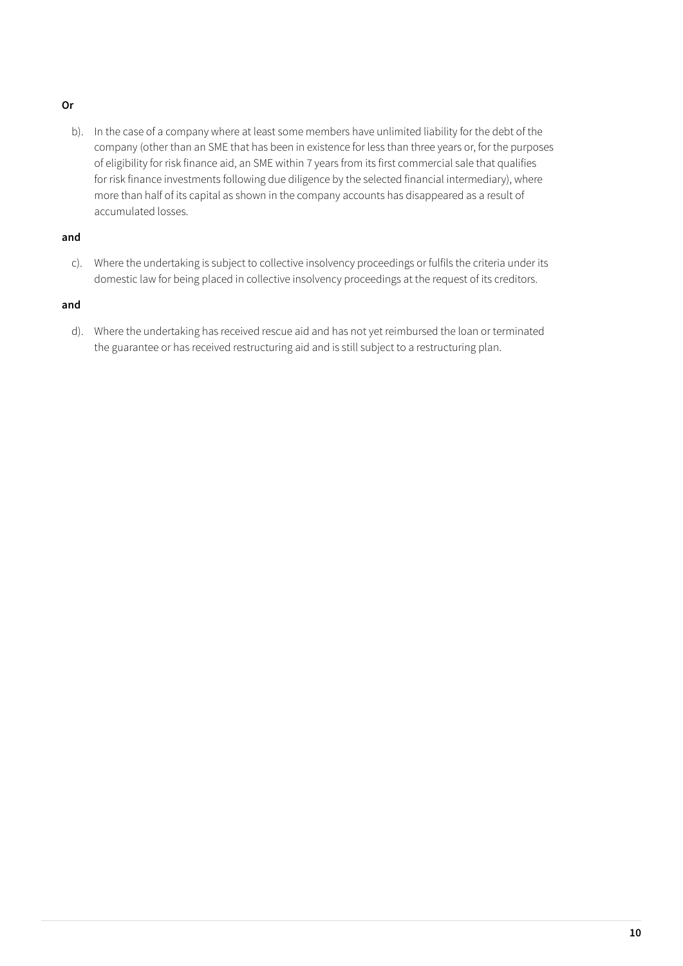#### **Or**

b). In the case of a company where at least some members have unlimited liability for the debt of the company (other than an SME that has been in existence for less than three years or, for the purposes of eligibility for risk finance aid, an SME within 7 years from its first commercial sale that qualifies for risk finance investments following due diligence by the selected financial intermediary), where more than half of its capital as shown in the company accounts has disappeared as a result of accumulated losses.

#### **and**

c). Where the undertaking is subject to collective insolvency proceedings or fulfils the criteria under its domestic law for being placed in collective insolvency proceedings at the request of its creditors.

#### **and**

d). Where the undertaking has received rescue aid and has not yet reimbursed the loan or terminated the guarantee or has received restructuring aid and is still subject to a restructuring plan.